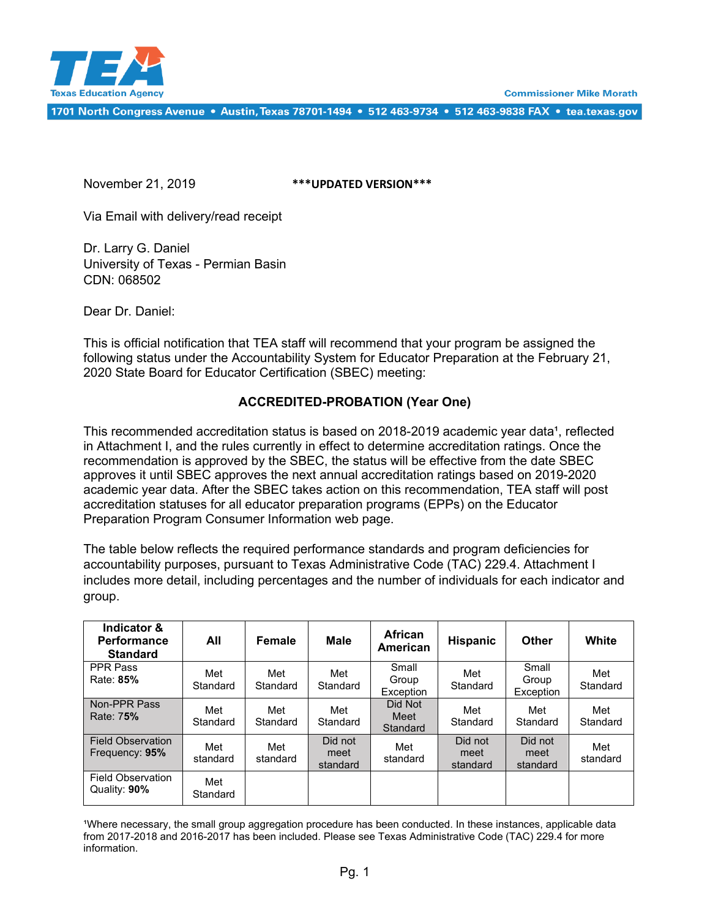



1701 North Congress Avenue • Austin, Texas 78701-1494 • 512 463-9734 • 512 463-9838 FAX • tea.texas.gov

November 21, 2019 **\*\*\*UPDATED VERSION\*\*\***

Via Email with delivery/read receipt

Dr. Larry G. Daniel University of Texas - Permian Basin CDN: 068502

Dear Dr. Daniel:

This is official notification that TEA staff will recommend that your program be assigned the following status under the Accountability System for Educator Preparation at the February 21, 2020 State Board for Educator Certification (SBEC) meeting:

### **ACCREDITED-PROBATION (Year One)**

This recommended accreditation status is based on 2018-2019 academic year data<sup>1</sup>, reflected in Attachment I, and the rules currently in effect to determine accreditation ratings. Once the recommendation is approved by the SBEC, the status will be effective from the date SBEC approves it until SBEC approves the next annual accreditation ratings based on 2019-2020 academic year data. After the SBEC takes action on this recommendation, TEA staff will post accreditation statuses for all educator preparation programs (EPPs) on the Educator Preparation Program Consumer Information web page.

The table below reflects the required performance standards and program deficiencies for accountability purposes, pursuant to Texas Administrative Code (TAC) 229.4. Attachment I includes more detail, including percentages and the number of individuals for each indicator and group.

| Indicator &<br><b>Performance</b><br><b>Standard</b> | All             | Female          | <b>Male</b>                 | <b>African</b><br>American  | <b>Hispanic</b>             | Other                       | White           |
|------------------------------------------------------|-----------------|-----------------|-----------------------------|-----------------------------|-----------------------------|-----------------------------|-----------------|
| <b>PPR Pass</b><br>Rate: 85%                         | Met<br>Standard | Met<br>Standard | Met<br>Standard             | Small<br>Group<br>Exception | Met<br>Standard             | Small<br>Group<br>Exception | Met<br>Standard |
| Non-PPR Pass<br>Rate: 75%                            | Met<br>Standard | Met<br>Standard | Met<br>Standard             | Did Not<br>Meet<br>Standard | Met<br>Standard             | Met<br>Standard             | Met<br>Standard |
| <b>Field Observation</b><br>Frequency: 95%           | Met<br>standard | Met<br>standard | Did not<br>meet<br>standard | Met<br>standard             | Did not<br>meet<br>standard | Did not<br>meet<br>standard | Met<br>standard |
| <b>Field Observation</b><br>Quality: 90%             | Met<br>Standard |                 |                             |                             |                             |                             |                 |

'Where necessary, the small group aggregation procedure has been conducted. In these instances, applicable data from 2017-2018 and 2016-2017 has been included. Please see Texas Administrative Code (TAC) 229.4 for more information.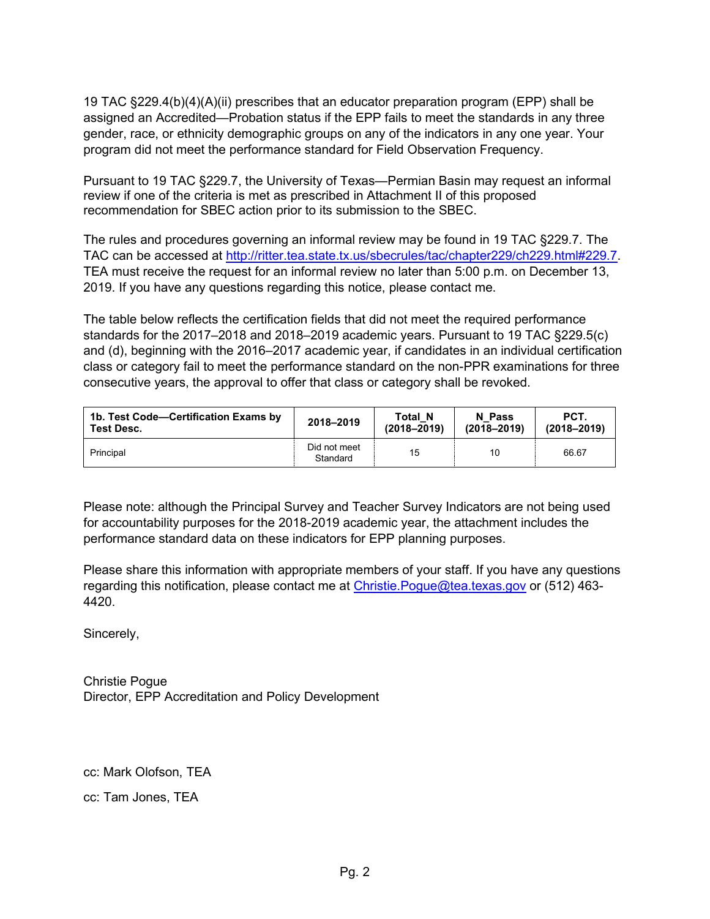19 TAC §229.4(b)(4)(A)(ii) prescribes that an educator preparation program (EPP) shall be assigned an Accredited—Probation status if the EPP fails to meet the standards in any three gender, race, or ethnicity demographic groups on any of the indicators in any one year. Your program did not meet the performance standard for Field Observation Frequency.

Pursuant to 19 TAC §229.7, the University of Texas—Permian Basin may request an informal review if one of the criteria is met as prescribed in Attachment II of this proposed recommendation for SBEC action prior to its submission to the SBEC.

The rules and procedures governing an informal review may be found in 19 TAC §229.7. The TAC can be accessed at [http://ritter.tea.state.tx.us/sbecrules/tac/chapter229/ch229.html#229.7.](http://ritter.tea.state.tx.us/sbecrules/tac/chapter229/ch229.html#229.7) TEA must receive the request for an informal review no later than 5:00 p.m. on December 13, 2019. If you have any questions regarding this notice, please contact me.

The table below reflects the certification fields that did not meet the required performance standards for the 2017–2018 and 2018–2019 academic years. Pursuant to 19 TAC §229.5(c) and (d), beginning with the 2016–2017 academic year, if candidates in an individual certification class or category fail to meet the performance standard on the non-PPR examinations for three consecutive years, the approval to offer that class or category shall be revoked.

| 1b. Test Code—Certification Exams by | 2018-2019                | <b>Total N</b>  | N Pass          | PCT.            |
|--------------------------------------|--------------------------|-----------------|-----------------|-----------------|
| <b>Test Desc.</b>                    |                          | $(2018 - 2019)$ | $(2018 - 2019)$ | $(2018 - 2019)$ |
| Principal                            | Did not meet<br>Standard | 15              | 10              | 66.67           |

Please note: although the Principal Survey and Teacher Survey Indicators are not being used for accountability purposes for the 2018-2019 academic year, the attachment includes the performance standard data on these indicators for EPP planning purposes.

Please share this information with appropriate members of your staff. If you have any questions regarding this notification, please contact me at Christie. Pogue@tea.texas.gov or (512) 463-4420.

Sincerely,

Christie Pogue Director, EPP Accreditation and Policy Development

cc: Mark Olofson, TEA cc: Tam Jones, TEA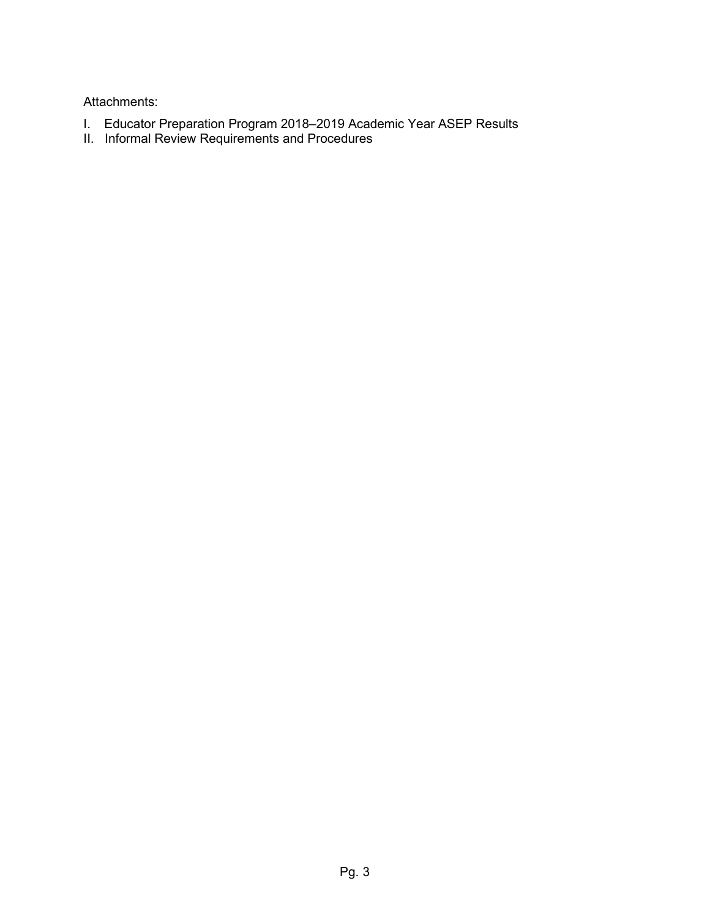Attachments:

- I. Educator Preparation Program 2018–2019 Academic Year ASEP Results
- II. Informal Review Requirements and Procedures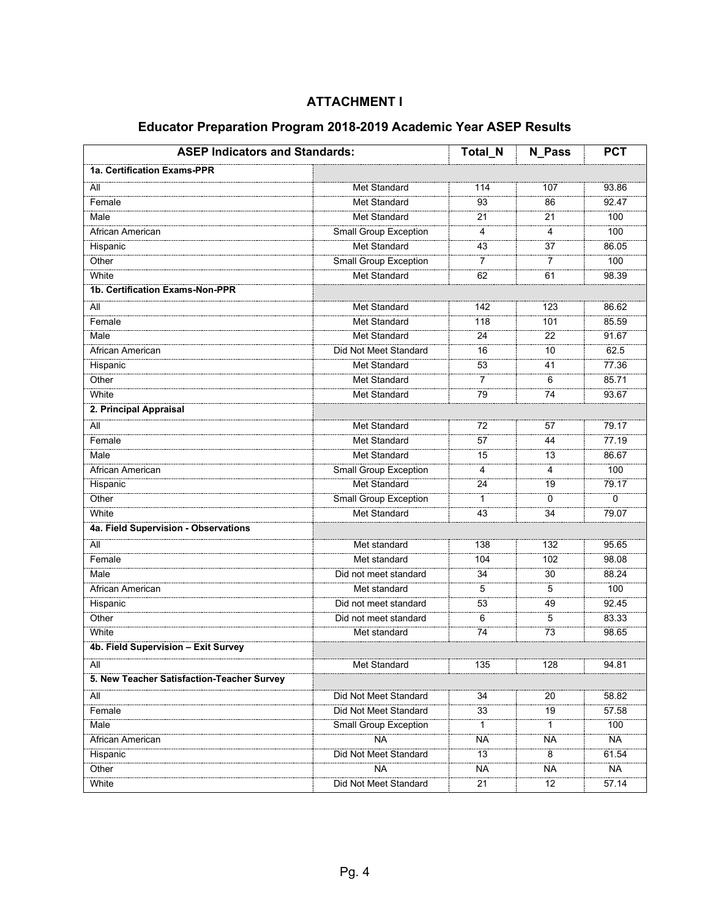| 1a. Certification Exams-PPR<br>Met Standard<br>All<br>Female<br><b>Met Standard</b><br><b>Met Standard</b><br>Male<br>Small Group Exception<br>African American<br>Met Standard<br>Hispanic<br>Other<br>Small Group Exception | 114<br>93<br>21<br>4<br>43<br>7<br>62<br>142<br>118 | 107<br>86<br>21<br>4<br>37<br>$\overline{7}$<br>61<br>123 | 93.86<br>92.47<br>100<br>100<br>86.05<br>100<br>98.39 |
|-------------------------------------------------------------------------------------------------------------------------------------------------------------------------------------------------------------------------------|-----------------------------------------------------|-----------------------------------------------------------|-------------------------------------------------------|
|                                                                                                                                                                                                                               |                                                     |                                                           |                                                       |
|                                                                                                                                                                                                                               |                                                     |                                                           |                                                       |
|                                                                                                                                                                                                                               |                                                     |                                                           |                                                       |
|                                                                                                                                                                                                                               |                                                     |                                                           |                                                       |
|                                                                                                                                                                                                                               |                                                     |                                                           |                                                       |
|                                                                                                                                                                                                                               |                                                     |                                                           |                                                       |
|                                                                                                                                                                                                                               |                                                     |                                                           |                                                       |
| White<br>Met Standard                                                                                                                                                                                                         |                                                     |                                                           |                                                       |
| 1b. Certification Exams-Non-PPR                                                                                                                                                                                               |                                                     |                                                           |                                                       |
| All<br><b>Met Standard</b>                                                                                                                                                                                                    |                                                     |                                                           | 86.62                                                 |
| <b>Met Standard</b><br>Female                                                                                                                                                                                                 |                                                     | 101                                                       | 85.59                                                 |
| Met Standard<br>Male                                                                                                                                                                                                          | 24                                                  | 22                                                        | 91.67                                                 |
| African American<br>Did Not Meet Standard                                                                                                                                                                                     | 16                                                  | 10                                                        | 62.5                                                  |
| Hispanic<br><b>Met Standard</b>                                                                                                                                                                                               | 53                                                  | 41                                                        | 77.36                                                 |
| Other<br>Met Standard                                                                                                                                                                                                         | $\overline{7}$                                      | 6                                                         | 85.71                                                 |
| White<br>Met Standard                                                                                                                                                                                                         | $\overline{79}$                                     | $\overline{74}$                                           | 93.67                                                 |
| 2. Principal Appraisal                                                                                                                                                                                                        |                                                     |                                                           |                                                       |
| <b>Met Standard</b><br>All                                                                                                                                                                                                    | 72                                                  | 57                                                        | 79.17                                                 |
| Female<br>Met Standard                                                                                                                                                                                                        | 57                                                  | 44                                                        | 77.19                                                 |
| Met Standard<br>Male                                                                                                                                                                                                          | 15                                                  | 13                                                        | 86.67                                                 |
| Small Group Exception<br>African American                                                                                                                                                                                     | 4                                                   | 4                                                         | 100                                                   |
| Met Standard<br>Hispanic                                                                                                                                                                                                      | 24                                                  | 19                                                        | 79.17                                                 |
| Other<br>Small Group Exception                                                                                                                                                                                                | $\mathbf{1}$                                        | $\Omega$                                                  | 0                                                     |
| White<br>Met Standard                                                                                                                                                                                                         | 43                                                  | 34                                                        | 79.07                                                 |
| 4a. Field Supervision - Observations                                                                                                                                                                                          |                                                     |                                                           |                                                       |
| All<br>Met standard                                                                                                                                                                                                           | 138                                                 | 132                                                       | 95.65                                                 |
| Female<br>Met standard                                                                                                                                                                                                        | 104                                                 | 102                                                       | 98.08                                                 |
| Male<br>Did not meet standard                                                                                                                                                                                                 | 34                                                  | 30                                                        | 88.24                                                 |
| African American<br>Met standard                                                                                                                                                                                              | 5                                                   | 5                                                         | 100                                                   |
| Hispanic<br>Did not meet standard                                                                                                                                                                                             | 53                                                  | 49                                                        | 92.45                                                 |
| Other<br>Did not meet standard                                                                                                                                                                                                | 6                                                   | 5                                                         | 83.33                                                 |
| White<br>Met standard                                                                                                                                                                                                         | 74                                                  | 73                                                        | 98.65                                                 |
| 4b. Field Supervision - Exit Survey                                                                                                                                                                                           |                                                     |                                                           |                                                       |
| All<br>Met Standard                                                                                                                                                                                                           | 135                                                 | 128                                                       | 94.81                                                 |
| 5. New Teacher Satisfaction-Teacher Survey                                                                                                                                                                                    |                                                     |                                                           |                                                       |
| Did Not Meet Standard<br>All                                                                                                                                                                                                  | 34                                                  | 20                                                        | 58.82                                                 |
| Did Not Meet Standard<br>Female                                                                                                                                                                                               | 33                                                  | 19                                                        | 57.58                                                 |
| Male<br><b>Small Group Exception</b>                                                                                                                                                                                          | 1                                                   | $\mathbf{1}$                                              | 100                                                   |
| African American<br>NA.                                                                                                                                                                                                       | <b>NA</b>                                           | <b>NA</b>                                                 | <b>NA</b>                                             |
| Did Not Meet Standard<br>Hispanic                                                                                                                                                                                             | 13                                                  | 8                                                         | 61.54                                                 |
| Other<br><b>NA</b>                                                                                                                                                                                                            | <b>NA</b>                                           | <b>NA</b>                                                 | <b>NA</b>                                             |
| Did Not Meet Standard<br>White                                                                                                                                                                                                | 21                                                  | 12                                                        | 57.14                                                 |

# **Educator Preparation Program 2018-2019 Academic Year ASEP Results**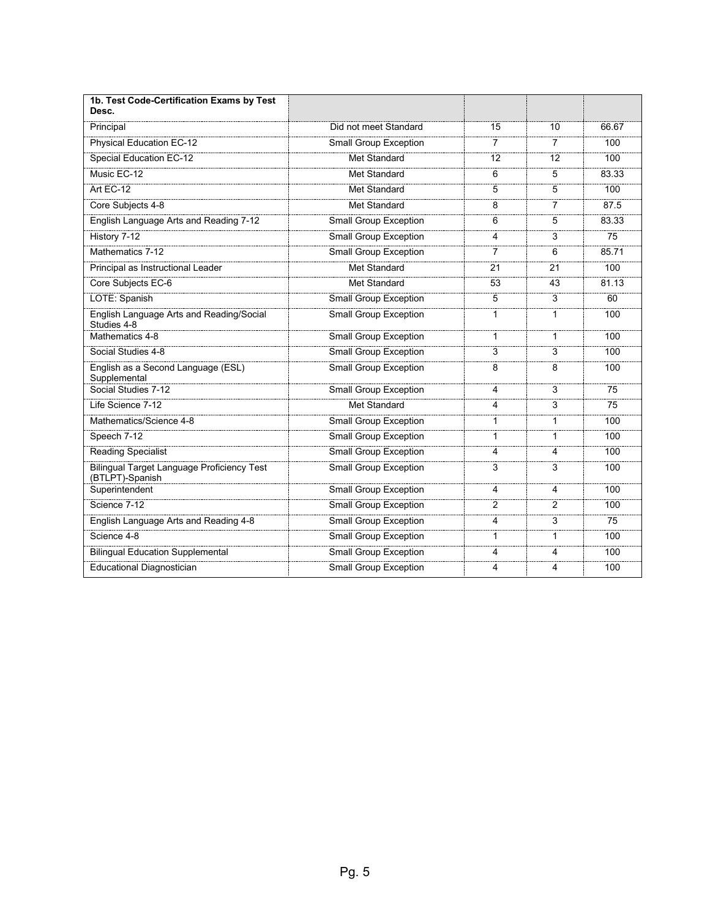| 1b. Test Code-Certification Exams by Test<br>Desc.            |                              |                |                |       |
|---------------------------------------------------------------|------------------------------|----------------|----------------|-------|
| Principal                                                     | Did not meet Standard        | 15             | 10             | 66.67 |
| Physical Education EC-12                                      | <b>Small Group Exception</b> | 7              | 7              | 100   |
| <b>Special Education EC-12</b>                                | Met Standard                 | 12             | 12             | 100   |
| Music EC-12                                                   | <b>Met Standard</b>          | 6              | 5              | 83.33 |
| Art EC-12                                                     | Met Standard                 | 5              | 5              | 100   |
| Core Subjects 4-8                                             | Met Standard                 | 8              | 7              | 87.5  |
| English Language Arts and Reading 7-12                        | <b>Small Group Exception</b> | 6              | 5              | 83.33 |
| History 7-12                                                  | Small Group Exception        | 4              | 3              | 75    |
| Mathematics 7-12                                              | <b>Small Group Exception</b> | 7              | 6              | 85.71 |
| Principal as Instructional Leader                             | Met Standard                 | 21             | 21             | 100   |
| Core Subjects EC-6                                            | Met Standard                 | 53             | 43             | 81.13 |
| LOTE: Spanish                                                 | <b>Small Group Exception</b> | 5              | 3              | 60    |
| English Language Arts and Reading/Social<br>Studies 4-8       | <b>Small Group Exception</b> | 1              | 1              | 100   |
| Mathematics 4-8                                               | Small Group Exception        | 1              | 1              | 100   |
| Social Studies 4-8                                            | Small Group Exception        | 3              | 3              | 100   |
| English as a Second Language (ESL)<br>Supplemental            | <b>Small Group Exception</b> | 8              | 8              | 100   |
| Social Studies 7-12                                           | <b>Small Group Exception</b> | 4              | 3              | 75    |
| Life Science 7-12                                             | Met Standard                 | 4              | 3              | 75    |
| Mathematics/Science 4-8                                       | <b>Small Group Exception</b> | 1              | 1              | 100   |
| Speech 7-12                                                   | <b>Small Group Exception</b> | 1              | 1              | 100   |
| Reading Specialist                                            | Small Group Exception        | 4              | 4              | 100   |
| Bilingual Target Language Proficiency Test<br>(BTLPT)-Spanish | <b>Small Group Exception</b> | 3              | 3              | 100   |
| Superintendent                                                | <b>Small Group Exception</b> | 4              | 4              | 100   |
| Science 7-12                                                  | Small Group Exception        | $\overline{2}$ | $\overline{2}$ | 100   |
| English Language Arts and Reading 4-8                         | <b>Small Group Exception</b> | 4              | 3              | 75    |
| Science 4-8                                                   | <b>Small Group Exception</b> | 1              | 1              | 100   |
| <b>Bilingual Education Supplemental</b>                       | <b>Small Group Exception</b> | 4              | 4              | 100   |
| Educational Diagnostician                                     | <b>Small Group Exception</b> | 4              | 4              | 100   |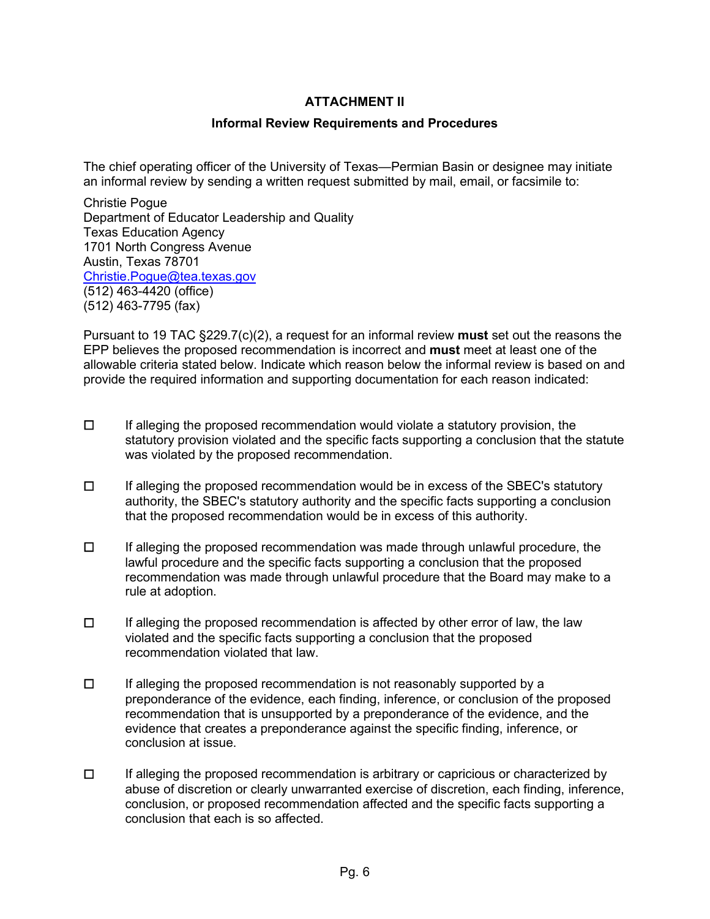## **ATTACHMENT II**

#### **Informal Review Requirements and Procedures**

The chief operating officer of the University of Texas—Permian Basin or designee may initiate an informal review by sending a written request submitted by mail, email, or facsimile to:

Christie Pogue Department of Educator Leadership and Quality Texas Education Agency 1701 North Congress Avenue Austin, Texas 78701 [Christie.Pogue@tea.texas.gov](mailto:Christie.Pogue@tea.texas.gov) (512) 463-4420 (office) (512) 463-7795 (fax)

Pursuant to 19 TAC §229.7(c)(2), a request for an informal review **must** set out the reasons the EPP believes the proposed recommendation is incorrect and **must** meet at least one of the allowable criteria stated below. Indicate which reason below the informal review is based on and provide the required information and supporting documentation for each reason indicated:

- ☐ If alleging the proposed recommendation would violate a statutory provision, the statutory provision violated and the specific facts supporting a conclusion that the statute was violated by the proposed recommendation.
- ☐ If alleging the proposed recommendation would be in excess of the SBEC's statutory authority, the SBEC's statutory authority and the specific facts supporting a conclusion that the proposed recommendation would be in excess of this authority.
- ☐ If alleging the proposed recommendation was made through unlawful procedure, the lawful procedure and the specific facts supporting a conclusion that the proposed recommendation was made through unlawful procedure that the Board may make to a rule at adoption.
- $\Box$  If alleging the proposed recommendation is affected by other error of law, the law violated and the specific facts supporting a conclusion that the proposed recommendation violated that law.
- $\Box$  If alleging the proposed recommendation is not reasonably supported by a preponderance of the evidence, each finding, inference, or conclusion of the proposed recommendation that is unsupported by a preponderance of the evidence, and the evidence that creates a preponderance against the specific finding, inference, or conclusion at issue.
- ☐ If alleging the proposed recommendation is arbitrary or capricious or characterized by abuse of discretion or clearly unwarranted exercise of discretion, each finding, inference, conclusion, or proposed recommendation affected and the specific facts supporting a conclusion that each is so affected.